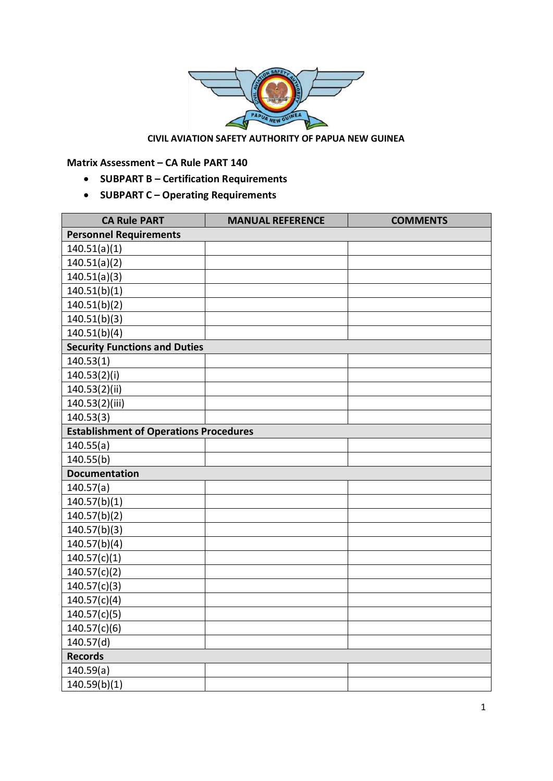

## **CIVIL AVIATION SAFETY AUTHORITY OF PAPUA NEW GUINEA**

**Matrix Assessment – CA Rule PART 140**

- · **SUBPART B Certification Requirements**
- · **SUBPART C Operating Requirements**

| <b>CA Rule PART</b>                           | <b>MANUAL REFERENCE</b> | <b>COMMENTS</b> |
|-----------------------------------------------|-------------------------|-----------------|
| <b>Personnel Requirements</b>                 |                         |                 |
| 140.51(a)(1)                                  |                         |                 |
| 140.51(a)(2)                                  |                         |                 |
| 140.51(a)(3)                                  |                         |                 |
| 140.51(b)(1)                                  |                         |                 |
| 140.51(b)(2)                                  |                         |                 |
| 140.51(b)(3)                                  |                         |                 |
| 140.51(b)(4)                                  |                         |                 |
| <b>Security Functions and Duties</b>          |                         |                 |
| 140.53(1)                                     |                         |                 |
| 140.53(2)(i)                                  |                         |                 |
| 140.53(2)(ii)                                 |                         |                 |
| 140.53(2)(iii)                                |                         |                 |
| 140.53(3)                                     |                         |                 |
| <b>Establishment of Operations Procedures</b> |                         |                 |
| 140.55(a)                                     |                         |                 |
| 140.55(b)                                     |                         |                 |
| <b>Documentation</b>                          |                         |                 |
| 140.57(a)                                     |                         |                 |
| 140.57(b)(1)                                  |                         |                 |
| 140.57(b)(2)                                  |                         |                 |
| 140.57(b)(3)                                  |                         |                 |
| 140.57(b)(4)                                  |                         |                 |
| 140.57(c)(1)                                  |                         |                 |
| 140.57(c)(2)                                  |                         |                 |
| 140.57(c)(3)                                  |                         |                 |
| 140.57(c)(4)                                  |                         |                 |
| 140.57(c)(5)                                  |                         |                 |
| 140.57(c)(6)                                  |                         |                 |
| 140.57(d)                                     |                         |                 |
| <b>Records</b>                                |                         |                 |
| 140.59(a)                                     |                         |                 |
| 140.59(b)(1)                                  |                         |                 |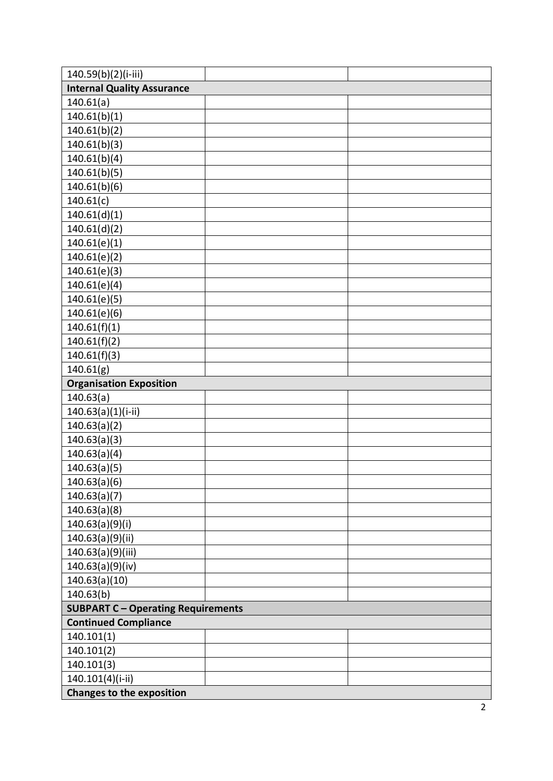| 140.59(b)(2)(i-iii)                       |  |  |
|-------------------------------------------|--|--|
| <b>Internal Quality Assurance</b>         |  |  |
| 140.61(a)                                 |  |  |
| 140.61(b)(1)                              |  |  |
| 140.61(b)(2)                              |  |  |
| 140.61(b)(3)                              |  |  |
| 140.61(b)(4)                              |  |  |
| 140.61(b)(5)                              |  |  |
| 140.61(b)(6)                              |  |  |
| 140.61(c)                                 |  |  |
| 140.61(d)(1)                              |  |  |
| 140.61(d)(2)                              |  |  |
| 140.61(e)(1)                              |  |  |
| 140.61(e)(2)                              |  |  |
| 140.61(e)(3)                              |  |  |
| 140.61(e)(4)                              |  |  |
| 140.61(e)(5)                              |  |  |
| 140.61(e)(6)                              |  |  |
| 140.61(f)(1)                              |  |  |
| 140.61(f)(2)                              |  |  |
| 140.61(f)(3)                              |  |  |
| 140.61(g)                                 |  |  |
| <b>Organisation Exposition</b>            |  |  |
| 140.63(a)                                 |  |  |
| $140.63(a)(1)(i-ii)$                      |  |  |
| 140.63(a)(2)                              |  |  |
| 140.63(a)(3)                              |  |  |
| 140.63(a)(4)                              |  |  |
| 140.63(a)(5)                              |  |  |
| 140.63(a)(6)                              |  |  |
| 140.63(a)(7)                              |  |  |
| 140.63(a)(8)                              |  |  |
| 140.63(a)(9)(i)                           |  |  |
| 140.63(a)(9)(ii)                          |  |  |
| 140.63(a)(9)(iii)                         |  |  |
| 140.63(a)(9)(iv)                          |  |  |
| 140.63(a)(10)                             |  |  |
| 140.63(b)                                 |  |  |
| <b>SUBPART C - Operating Requirements</b> |  |  |
| <b>Continued Compliance</b>               |  |  |
| 140.101(1)                                |  |  |
| 140.101(2)                                |  |  |
| 140.101(3)                                |  |  |
| 140.101(4)(i-ii)                          |  |  |
| <b>Changes to the exposition</b>          |  |  |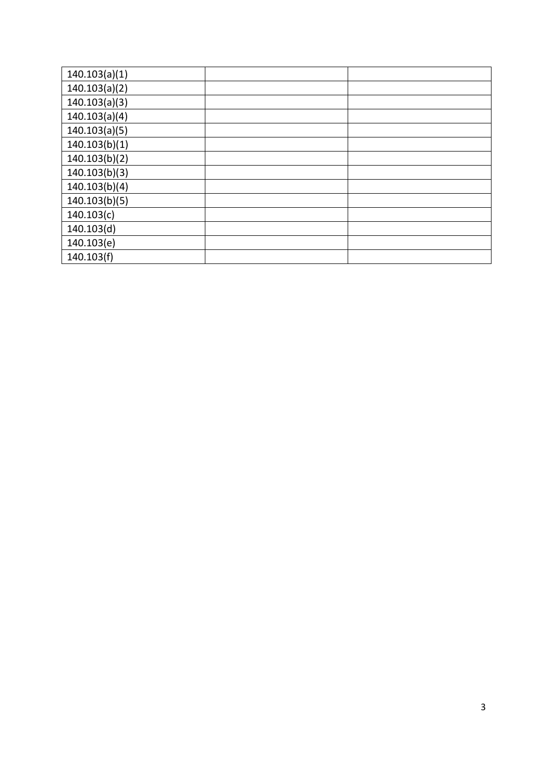| 140.103(a)(1) |  |
|---------------|--|
| 140.103(a)(2) |  |
| 140.103(a)(3) |  |
| 140.103(a)(4) |  |
| 140.103(a)(5) |  |
| 140.103(b)(1) |  |
| 140.103(b)(2) |  |
| 140.103(b)(3) |  |
| 140.103(b)(4) |  |
| 140.103(b)(5) |  |
| 140.103(c)    |  |
| 140.103(d)    |  |
| 140.103(e)    |  |
| 140.103(f)    |  |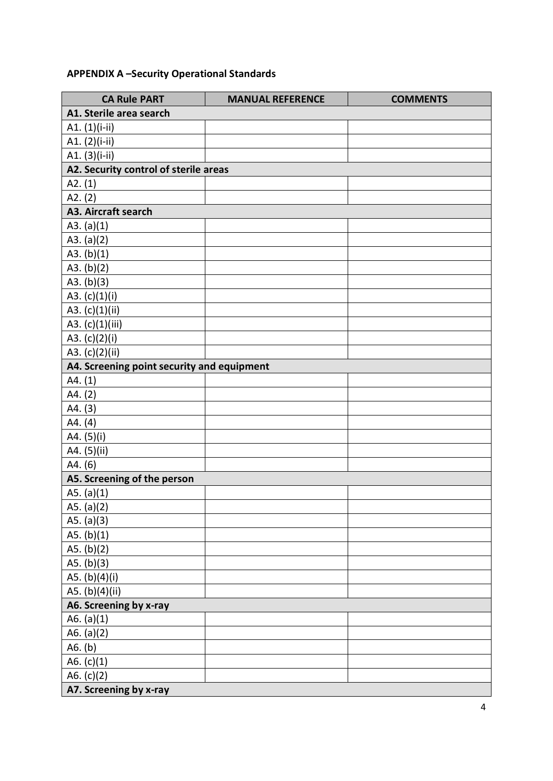## **APPENDIX A –Security Operational Standards**

| <b>CA Rule PART</b>                        | <b>MANUAL REFERENCE</b> | <b>COMMENTS</b> |
|--------------------------------------------|-------------------------|-----------------|
| A1. Sterile area search                    |                         |                 |
| A1. (1)(i-ii)                              |                         |                 |
| A1. (2)(i-ii)                              |                         |                 |
| A1. (3)(i-ii)                              |                         |                 |
| A2. Security control of sterile areas      |                         |                 |
| A2. (1)                                    |                         |                 |
| A2. (2)                                    |                         |                 |
| A3. Aircraft search                        |                         |                 |
| A3. $(a)(1)$                               |                         |                 |
| A3. $(a)(2)$                               |                         |                 |
| A3. $(b)(1)$                               |                         |                 |
| A3. $(b)(2)$                               |                         |                 |
| A3. (b)(3)                                 |                         |                 |
| A3. (c)(1)(i)                              |                         |                 |
| A3. (c)(1)(ii)                             |                         |                 |
| A3. (c)(1)(iii)                            |                         |                 |
| A3. $(c)(2)(i)$                            |                         |                 |
| A3. (c)(2)(ii)                             |                         |                 |
| A4. Screening point security and equipment |                         |                 |
| A4. (1)                                    |                         |                 |
| A4. (2)                                    |                         |                 |
| A4. (3)                                    |                         |                 |
| A4. (4)                                    |                         |                 |
| A4. (5)(i)                                 |                         |                 |
| A4. (5)(ii)                                |                         |                 |
| A4. (6)                                    |                         |                 |
| A5. Screening of the person                |                         |                 |
| A5. $(a)(1)$                               |                         |                 |
| A5. (a)(2)                                 |                         |                 |
| A5. $(a)(3)$                               |                         |                 |
| A5. $(b)(1)$                               |                         |                 |
| A5. $(b)(2)$                               |                         |                 |
| A5. $(b)(3)$                               |                         |                 |
| A5. (b)(4)(i)                              |                         |                 |
| A5. (b)(4)(ii)                             |                         |                 |
| A6. Screening by x-ray                     |                         |                 |
| A6. $(a)(1)$                               |                         |                 |
| A6. $(a)(2)$                               |                         |                 |
| A6. (b)                                    |                         |                 |
| A6. $(c)(1)$                               |                         |                 |
| A6. $(c)(2)$                               |                         |                 |
| A7. Screening by x-ray                     |                         |                 |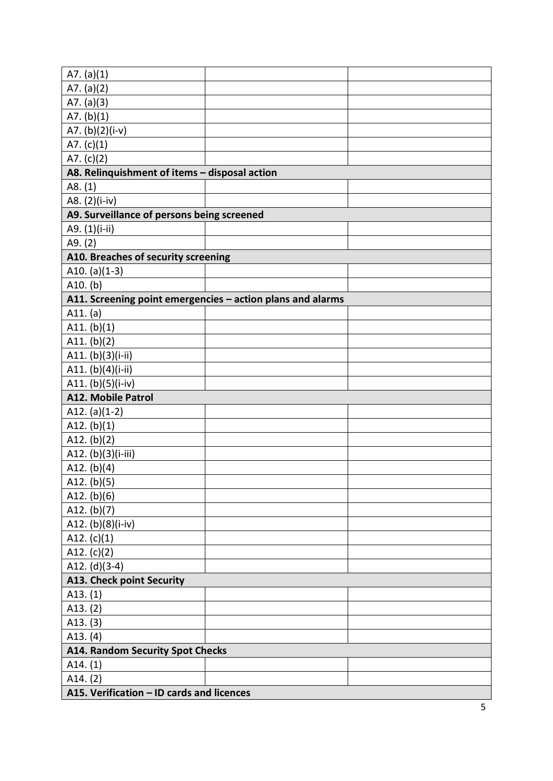| A7. $(a)(1)$                                  |                                                            |  |
|-----------------------------------------------|------------------------------------------------------------|--|
| A7. $(a)(2)$                                  |                                                            |  |
| A7. $(a)(3)$                                  |                                                            |  |
| A7. $(b)(1)$                                  |                                                            |  |
| A7. (b)(2)(i-v)                               |                                                            |  |
| A7. $(c)(1)$                                  |                                                            |  |
| A7. $(c)(2)$                                  |                                                            |  |
| A8. Relinquishment of items - disposal action |                                                            |  |
| A8. (1)                                       |                                                            |  |
| A8. (2)(i-iv)                                 |                                                            |  |
| A9. Surveillance of persons being screened    |                                                            |  |
| A9. (1)(i-ii)                                 |                                                            |  |
| A9. (2)                                       |                                                            |  |
| A10. Breaches of security screening           |                                                            |  |
| A10. (a) $(1-3)$                              |                                                            |  |
| $A10.$ (b)                                    |                                                            |  |
|                                               | A11. Screening point emergencies - action plans and alarms |  |
| A11. (a)                                      |                                                            |  |
| A11. $(b)(1)$                                 |                                                            |  |
| A11. $(b)(2)$                                 |                                                            |  |
| A11. (b)(3)(i-ii)                             |                                                            |  |
| A11. (b)(4)(i-ii)                             |                                                            |  |
| A11. (b)(5)(i-iv)                             |                                                            |  |
| <b>A12. Mobile Patrol</b>                     |                                                            |  |
| A12. $(a)(1-2)$                               |                                                            |  |
| A12. $(b)(1)$                                 |                                                            |  |
| A12. $(b)(2)$                                 |                                                            |  |
| A12. (b)(3)(i-iii)                            |                                                            |  |
| A12. $(b)(4)$                                 |                                                            |  |
| A12. $(b)(5)$                                 |                                                            |  |
| A12. $(b)(6)$                                 |                                                            |  |
| A12. $(b)(7)$                                 |                                                            |  |
| A12. (b)(8)(i-iv)                             |                                                            |  |
| A12. $(c)(1)$                                 |                                                            |  |
| A12. $(c)(2)$                                 |                                                            |  |
| A12. $(d)(3-4)$                               |                                                            |  |
| <b>A13. Check point Security</b>              |                                                            |  |
| A13. (1)                                      |                                                            |  |
| A13. (2)                                      |                                                            |  |
| A13. (3)                                      |                                                            |  |
| A13. (4)                                      |                                                            |  |
| <b>A14. Random Security Spot Checks</b>       |                                                            |  |
| A14. (1)                                      |                                                            |  |
| A14. (2)                                      |                                                            |  |
| A15. Verification - ID cards and licences     |                                                            |  |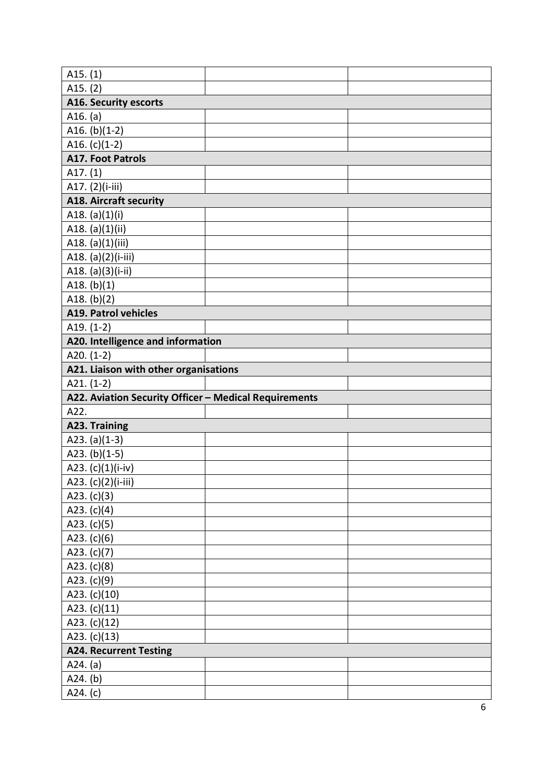| A15. $(1)$                                            |  |
|-------------------------------------------------------|--|
| A15. (2)                                              |  |
| <b>A16. Security escorts</b>                          |  |
| A16. (a)                                              |  |
| A16. $(b)(1-2)$                                       |  |
| A16. $(c)(1-2)$                                       |  |
| <b>A17. Foot Patrols</b>                              |  |
| A17. $(1)$                                            |  |
| A17. (2)(i-iii)                                       |  |
| <b>A18. Aircraft security</b>                         |  |
| A18. $(a)(1)(i)$                                      |  |
| A18. (a)(1)(ii)                                       |  |
| A18. (a)(1)(iii)                                      |  |
| A18. (a)(2)(i-iii)                                    |  |
| A18. $(a)(3)(i-ii)$                                   |  |
| A18. $(b)(1)$                                         |  |
| A18. $(b)(2)$                                         |  |
| <b>A19. Patrol vehicles</b>                           |  |
| A19. $(1-2)$                                          |  |
| A20. Intelligence and information                     |  |
| A20. $(1-2)$                                          |  |
| A21. Liaison with other organisations                 |  |
| A21. $(1-2)$                                          |  |
|                                                       |  |
| A22. Aviation Security Officer - Medical Requirements |  |
| A22.                                                  |  |
| A23. Training                                         |  |
| A23. (a) $(1-3)$                                      |  |
| A23. $(b)(1-5)$                                       |  |
| A23. (c)(1)(i-iv)                                     |  |
| A23. (c)(2)(i-iii)                                    |  |
| A23. $(c)(3)$                                         |  |
| A23. $(c)(4)$                                         |  |
| A23. $(c)(5)$                                         |  |
| A23. $(c)(6)$                                         |  |
| A23. $(c)(7)$                                         |  |
| A23. $(c)(8)$                                         |  |
| A23. $(c)(9)$                                         |  |
| A23. (c)(10)                                          |  |
| A23. (c)(11)                                          |  |
| A23. (c)(12)                                          |  |
| A23. (c)(13)                                          |  |
| <b>A24. Recurrent Testing</b>                         |  |
| A24. (a)                                              |  |
| A24. (b)                                              |  |